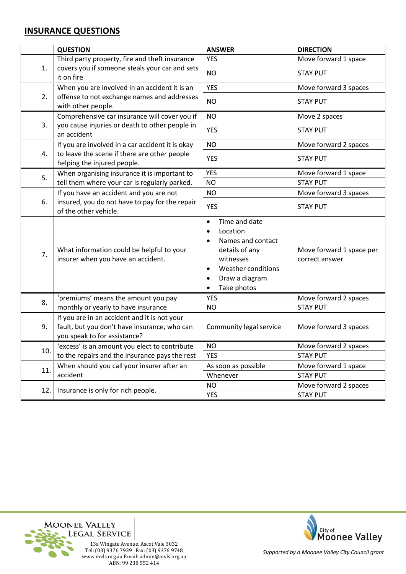## **INSURANCE QUESTIONS**

|     | <b>QUESTION</b>                                                                                                                 | <b>ANSWER</b>                                                                                                                                                                                         | <b>DIRECTION</b>                           |
|-----|---------------------------------------------------------------------------------------------------------------------------------|-------------------------------------------------------------------------------------------------------------------------------------------------------------------------------------------------------|--------------------------------------------|
| 1.  | Third party property, fire and theft insurance                                                                                  | <b>YES</b>                                                                                                                                                                                            | Move forward 1 space                       |
|     | covers you if someone steals your car and sets<br>it on fire                                                                    | <b>NO</b>                                                                                                                                                                                             | <b>STAY PUT</b>                            |
| 2.  | When you are involved in an accident it is an<br>offense to not exchange names and addresses<br>with other people.              | <b>YES</b>                                                                                                                                                                                            | Move forward 3 spaces                      |
|     |                                                                                                                                 | <b>NO</b>                                                                                                                                                                                             | <b>STAY PUT</b>                            |
| 3.  | Comprehensive car insurance will cover you if<br>you cause injuries or death to other people in<br>an accident                  | <b>NO</b>                                                                                                                                                                                             | Move 2 spaces                              |
|     |                                                                                                                                 | <b>YES</b>                                                                                                                                                                                            | <b>STAY PUT</b>                            |
| 4.  | If you are involved in a car accident it is okay<br>to leave the scene if there are other people<br>helping the injured people. | <b>NO</b>                                                                                                                                                                                             | Move forward 2 spaces                      |
|     |                                                                                                                                 | <b>YES</b>                                                                                                                                                                                            | <b>STAY PUT</b>                            |
| 5.  | When organising insurance it is important to                                                                                    | <b>YES</b>                                                                                                                                                                                            | Move forward 1 space                       |
|     | tell them where your car is regularly parked.                                                                                   | <b>NO</b>                                                                                                                                                                                             | <b>STAY PUT</b>                            |
|     | If you have an accident and you are not<br>insured, you do not have to pay for the repair<br>of the other vehicle.              | <b>NO</b>                                                                                                                                                                                             | Move forward 3 spaces                      |
| 6.  |                                                                                                                                 | <b>YES</b>                                                                                                                                                                                            | <b>STAY PUT</b>                            |
| 7.  | What information could be helpful to your<br>insurer when you have an accident.                                                 | Time and date<br>$\bullet$<br>Location<br>$\bullet$<br>Names and contact<br>$\bullet$<br>details of any<br>witnesses<br>Weather conditions<br>$\bullet$<br>Draw a diagram<br>$\bullet$<br>Take photos | Move forward 1 space per<br>correct answer |
| 8.  | 'premiums' means the amount you pay                                                                                             | <b>YES</b>                                                                                                                                                                                            | Move forward 2 spaces                      |
|     | monthly or yearly to have insurance                                                                                             | <b>NO</b>                                                                                                                                                                                             | <b>STAY PUT</b>                            |
| 9.  | If you are in an accident and it is not your<br>fault, but you don't have insurance, who can<br>you speak to for assistance?    | Community legal service                                                                                                                                                                               | Move forward 3 spaces                      |
| 10. | 'excess' is an amount you elect to contribute                                                                                   | <b>NO</b>                                                                                                                                                                                             | Move forward 2 spaces                      |
|     | to the repairs and the insurance pays the rest                                                                                  | <b>YES</b>                                                                                                                                                                                            | <b>STAY PUT</b>                            |
| 11. | When should you call your insurer after an                                                                                      | As soon as possible                                                                                                                                                                                   | Move forward 1 space                       |
|     | accident                                                                                                                        | Whenever                                                                                                                                                                                              | <b>STAY PUT</b>                            |
| 12. | Insurance is only for rich people.                                                                                              | <b>NO</b>                                                                                                                                                                                             | Move forward 2 spaces                      |
|     |                                                                                                                                 | <b>YES</b>                                                                                                                                                                                            | <b>STAY PUT</b>                            |





*Supported by a Moonee Valley City Council grant*